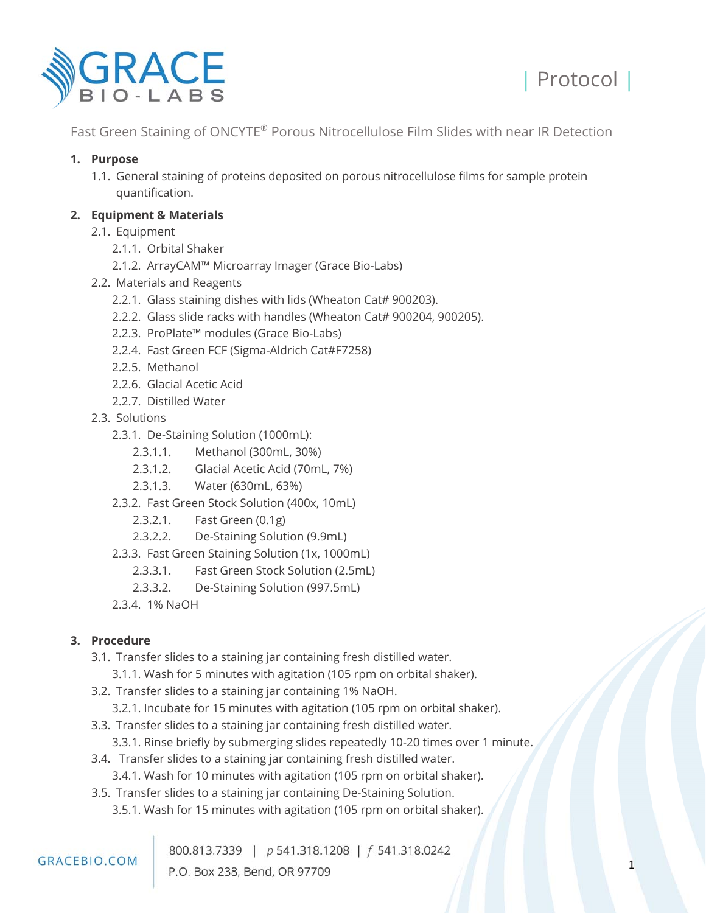



## **1. Purpose**

1.1. General staining of proteins deposited on porous nitrocellulose films for sample protein quantification.

## **2. Equipment & Materials**

- 2.1. Equipment
	- 2.1.1. Orbital Shaker
	- 2.1.2. ArrayCAM™ Microarray Imager (Grace Bio-Labs)
- 2.2. Materials and Reagents
	- 2.2.1. Glass staining dishes with lids (Wheaton Cat# 900203).
	- 2.2.2. Glass slide racks with handles (Wheaton Cat# 900204, 900205).
	- 2.2.3. ProPlate™ modules (Grace Bio-Labs)
	- 2.2.4. Fast Green FCF (Sigma-Aldrich Cat#F7258)
	- 2.2.5. Methanol
	- 2.2.6. Glacial Acetic Acid
	- 2.2.7. Distilled Water
- 2.3. Solutions
	- 2.3.1. De-Staining Solution (1000mL):
		- 2.3.1.1. Methanol (300mL, 30%)
		- 2.3.1.2. Glacial Acetic Acid (70mL, 7%)
		- 2.3.1.3. Water (630mL, 63%)
	- 2.3.2. Fast Green Stock Solution (400x, 10mL)
		- 2.3.2.1. Fast Green (0.1g)
		- 2.3.2.2. De-Staining Solution (9.9mL)
	- 2.3.3. Fast Green Staining Solution (1x, 1000mL)
		- 2.3.3.1. Fast Green Stock Solution (2.5mL)
		- 2.3.3.2. De-Staining Solution (997.5mL)
	- 2.3.4. 1% NaOH

# **3. Procedure**

- 3.1. Transfer slides to a staining jar containing fresh distilled water.
	- 3.1.1. Wash for 5 minutes with agitation (105 rpm on orbital shaker).
- 3.2. Transfer slides to a staining jar containing 1% NaOH.
	- 3.2.1. Incubate for 15 minutes with agitation (105 rpm on orbital shaker).
- 3.3. Transfer slides to a staining jar containing fresh distilled water.
	- 3.3.1. Rinse briefly by submerging slides repeatedly 10-20 times over 1 minute.
- 3.4. Transfer slides to a staining jar containing fresh distilled water. 3.4.1. Wash for 10 minutes with agitation (105 rpm on orbital shaker).
- 3.5. Transfer slides to a staining jar containing De-Staining Solution.
	- 3.5.1. Wash for 15 minutes with agitation (105 rpm on orbital shaker).

#### **GRACEBIO.COM**

800.813.7339 | p 541.318.1208 | f 541.318.0242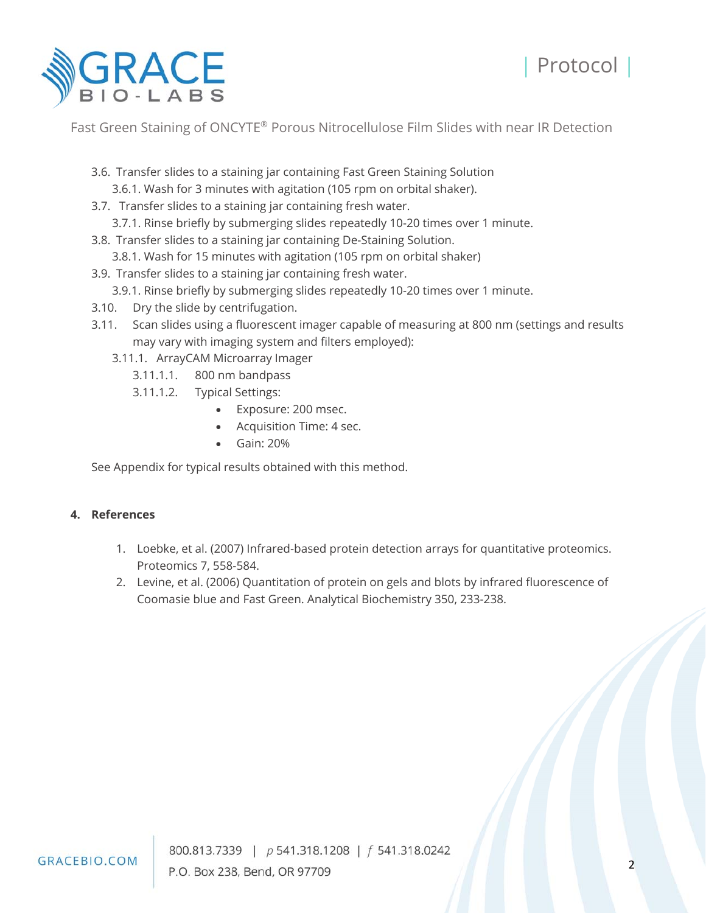



- 3.6. Transfer slides to a staining jar containing Fast Green Staining Solution 3.6.1. Wash for 3 minutes with agitation (105 rpm on orbital shaker).
- 3.7. Transfer slides to a staining jar containing fresh water.
	- 3.7.1. Rinse briefly by submerging slides repeatedly 10-20 times over 1 minute.
- 3.8. Transfer slides to a staining jar containing De-Staining Solution.
	- 3.8.1. Wash for 15 minutes with agitation (105 rpm on orbital shaker)
- 3.9. Transfer slides to a staining jar containing fresh water.
	- 3.9.1. Rinse briefly by submerging slides repeatedly 10-20 times over 1 minute.
- 3.10. Dry the slide by centrifugation.
- 3.11. Scan slides using a fluorescent imager capable of measuring at 800 nm (settings and results may vary with imaging system and filters employed):
	- 3.11.1. ArrayCAM Microarray Imager
		- 3.11.1.1. 800 nm bandpass
			- 3.11.1.2. Typical Settings:
				- Exposure: 200 msec.
				- Acquisition Time: 4 sec.
				- Gain: 20%

See Appendix for typical results obtained with this method.

#### **4. References**

- 1. Loebke, et al. (2007) Infrared-based protein detection arrays for quantitative proteomics. Proteomics 7, 558-584.
- 2. Levine, et al. (2006) Quantitation of protein on gels and blots by infrared fluorescence of Coomasie blue and Fast Green. Analytical Biochemistry 350, 233-238.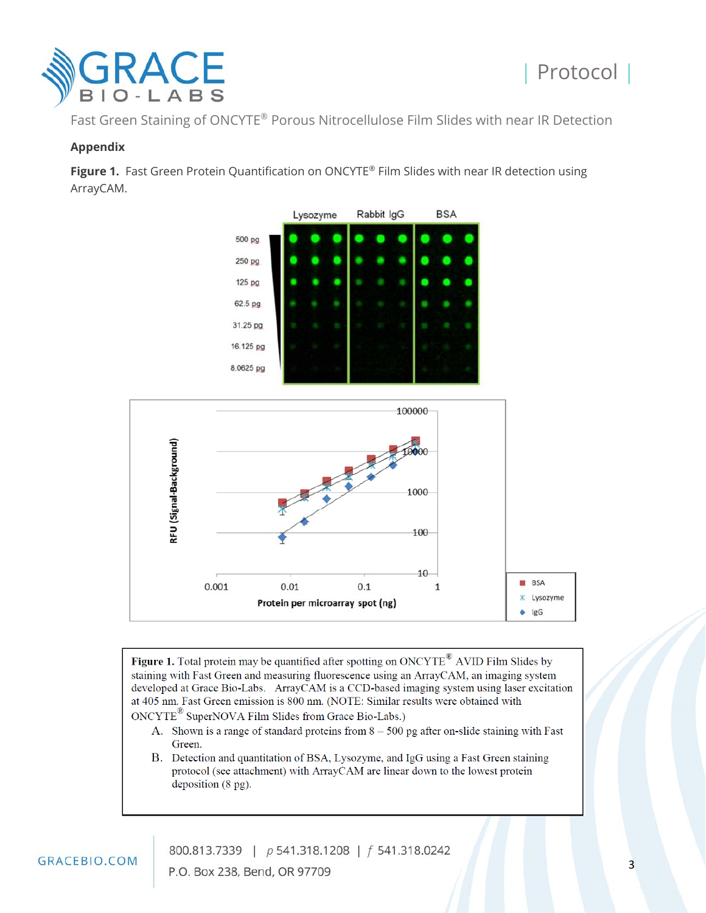

#### **Appendix**

Figure 1. Fast Green Protein Quantification on ONCYTE® Film Slides with near IR detection using ArrayCAM.





Figure 1. Total protein may be quantified after spotting on ONCYTE® AVID Film Slides by staining with Fast Green and measuring fluorescence using an ArrayCAM, an imaging system developed at Grace Bio-Labs. ArrayCAM is a CCD-based imaging system using laser excitation at 405 nm. Fast Green emission is 800 nm. (NOTE: Similar results were obtained with ONCYTE<sup>®</sup> SuperNOVA Film Slides from Grace Bio-Labs.)

- A. Shown is a range of standard proteins from  $8 500$  pg after on-slide staining with Fast Green.
- B. Detection and quantitation of BSA, Lysozyme, and IgG using a Fast Green staining protocol (see attachment) with ArrayCAM are linear down to the lowest protein deposition (8 pg).

800.813.7339 | p 541.318.1208 | f 541.318.0242 P.O. Box 238, Bend, OR 97709